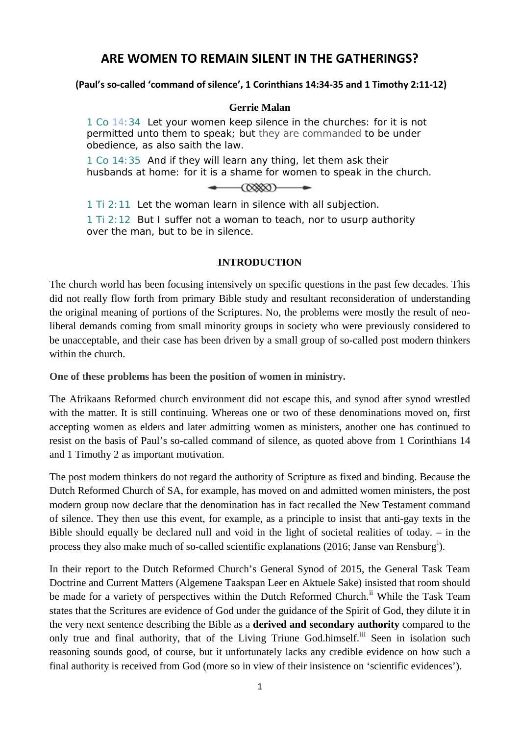# **ARE WOMEN TO REMAIN SILENT IN THE GATHERINGS?**

#### **(Paul's so-called 'command of silence', 1 Corinthians 14:34-35 and 1 Timothy 2:11-12)**

#### **Gerrie Malan**

1 Co 14:34 Let your women keep silence in the churches: for it is not permitted unto them to speak; but *they are commanded* to be under obedience, as also saith the law.

1 Co 14:35 And if they will learn any thing, let them ask their husbands at home: for it is a shame for women to speak in the church.

| $\circledcirc$ |  |
|----------------|--|
|                |  |

1 Ti 2:11 Let the woman learn in silence with all subjection.

1 Ti 2:12 But I suffer not a woman to teach, nor to usurp authority over the man, but to be in silence.

## **INTRODUCTION**

The church world has been focusing intensively on specific questions in the past few decades. This did not really flow forth from primary Bible study and resultant reconsideration of understanding the original meaning of portions of the Scriptures. No, the problems were mostly the result of neoliberal demands coming from small minority groups in society who were previously considered to be unacceptable, and their case has been driven by a small group of so-called post modern thinkers within the church.

**One of these problems has been the position of women in ministry.** 

The Afrikaans Reformed church environment did not escape this, and synod after synod wrestled with the matter. It is still continuing. Whereas one or two of these denominations moved on, first accepting women as elders and later admitting women as ministers, another one has continued to resist on the basis of Paul's so-called command of silence, as quoted above from 1 Corinthians 14 and 1 Timothy 2 as important motivation.

The post modern thinkers do not regard the authority of Scripture as fixed and binding. Because the Dutch Reformed Church of SA, for example, has moved on and admitted women ministers, the post modern group now declare that the denomination has in fact recalled the New Testament command of silence. They then use this event, for example, as a principle to insist that anti-gay texts in the Bible should equally be declared null and void in the light of societal realities of today. – in the process they also make much of so-called sc[i](#page-9-0)entific explanations (2016; Janse van Rensburg<sup>i</sup>).

In their report to the Dutch Reformed Church's General Synod of 2015, the General Task Team Doctrine and Current Matters (Algemene Taakspan Leer en Aktuele Sake) insisted that room should be made for a variety of perspectives within the Dutch Reformed Church.<sup>[ii](#page-9-1)</sup> While the Task Team states that the Scritures are evidence of God under the guidance of the Spirit of God, they dilute it in the very next sentence describing the Bible as a **derived and secondary authority** compared to the only true and final authority, that of the Living Triune God.himself.<sup>[iii](#page-9-2)</sup> Seen in isolation such reasoning sounds good, of course, but it unfortunately lacks any credible evidence on how such a final authority is received from God (more so in view of their insistence on 'scientific evidences').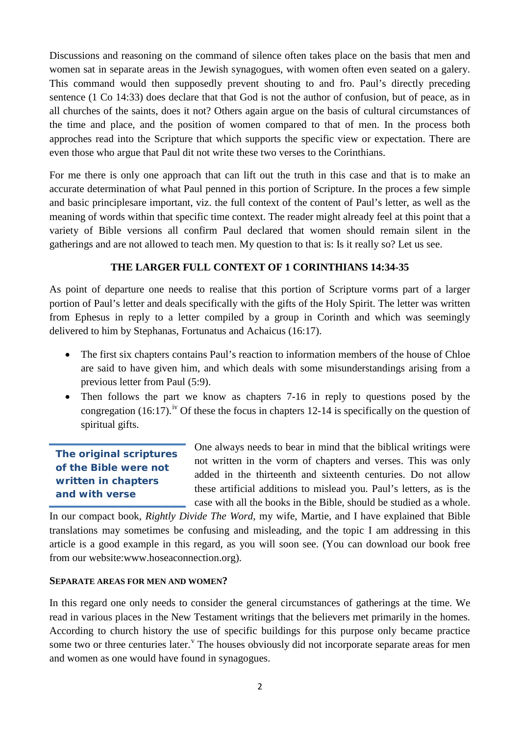Discussions and reasoning on the command of silence often takes place on the basis that men and women sat in separate areas in the Jewish synagogues, with women often even seated on a galery. This command would then supposedly prevent shouting to and fro. Paul's directly preceding sentence (1 Co 14:33) does declare that that God is not the author of confusion, but of peace, as in all churches of the saints, does it not? Others again argue on the basis of cultural circumstances of the time and place, and the position of women compared to that of men. In the process both approches read into the Scripture that which supports the specific view or expectation. There are even those who argue that Paul dit not write these two verses to the Corinthians.

For me there is only one approach that can lift out the truth in this case and that is to make an accurate determination of what Paul penned in this portion of Scripture. In the proces a few simple and basic principlesare important, viz. the full context of the content of Paul's letter, as well as the meaning of words within that specific time context. The reader might already feel at this point that a variety of Bible versions all confirm Paul declared that women should remain silent in the gatherings and are not allowed to teach men. My question to that is: Is it really so? Let us see.

# **THE LARGER FULL CONTEXT OF 1 CORINTHIANS 14:34-35**

As point of departure one needs to realise that this portion of Scripture vorms part of a larger portion of Paul's letter and deals specifically with the gifts of the Holy Spirit. The letter was written from Ephesus in reply to a letter compiled by a group in Corinth and which was seemingly delivered to him by Stephanas, Fortunatus and Achaicus (16:17).

- The first six chapters contains Paul's reaction to information members of the house of Chloe are said to have given him, and which deals with some misunderstandings arising from a previous letter from Paul (5:9).
- Then follows the part we know as chapters 7-16 in reply to questions posed by the congregation (16:17).<sup>[iv](#page-9-3)</sup> Of these the focus in chapters 12-14 is specifically on the question of spiritual gifts.

**The original scriptures of the Bible were not written in chapters and with verse** 

One always needs to bear in mind that the biblical writings were not written in the vorm of chapters and verses. This was only added in the thirteenth and sixteenth centuries. Do not allow these artificial additions to mislead you. Paul's letters, as is the case with all the books in the Bible, should be studied as a whole.

In our compact book, *Rightly Divide The Word*, my wife, Martie, and I have explained that Bible translations may sometimes be confusing and misleading, and the topic I am addressing in this article is a good example in this regard, as you will soon see. (You can download our book free from our website:www.hoseaconnection.org).

#### **SEPARATE AREAS FOR MEN AND WOMEN?**

In this regard one only needs to consider the general circumstances of gatherings at the time. We read in various places in the New Testament writings that the believers met primarily in the homes. According to church history the use of specific buildings for this purpose only became practice some two or three centuries later.<sup>V</sup> The houses ob[v](#page-9-4)iously did not incorporate separate areas for men and women as one would have found in synagogues.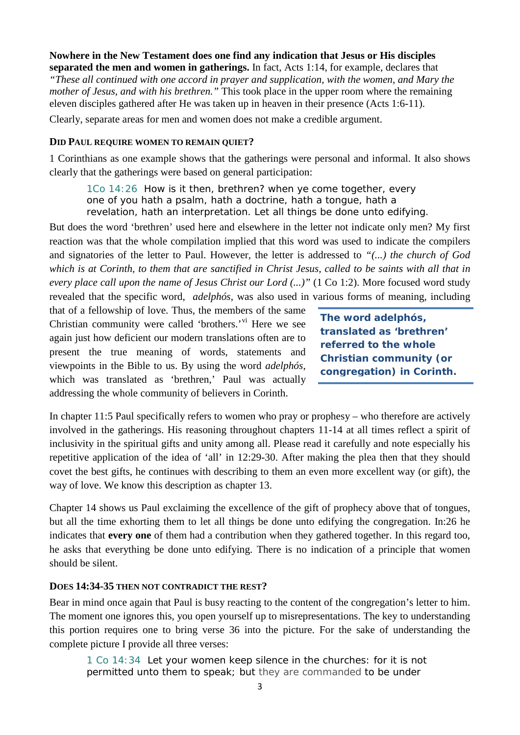# **Nowhere in the New Testament does one find any indication that Jesus or His disciples**

**separated the men and women in gatherings.** In fact, Acts 1:14, for example, declares that *"These all continued with one accord in prayer and supplication, with the women, and Mary the mother of Jesus, and with his brethren."* This took place in the upper room where the remaining eleven disciples gathered after He was taken up in heaven in their presence (Acts 1:6-11).

Clearly, separate areas for men and women does not make a credible argument.

#### **DID PAUL REQUIRE WOMEN TO REMAIN QUIET?**

1 Corinthians as one example shows that the gatherings were personal and informal. It also shows clearly that the gatherings were based on general participation:

1Co 14:26 How is it then, brethren? when ye come together, every one of you hath a psalm, hath a doctrine, hath a tongue, hath a revelation, hath an interpretation. Let all things be done unto edifying.

But does the word 'brethren' used here and elsewhere in the letter not indicate only men? My first reaction was that the whole compilation implied that this word was used to indicate the compilers and signatories of the letter to Paul. However, the letter is addressed to *"(...) the church of God which is at Corinth, to them that are sanctified in Christ Jesus, called to be saints with all that in every place call upon the name of Jesus Christ our Lord (...)"* (1 Co 1:2). More focused word study revealed that the specific word, *adelphós,* was also used in various forms of meaning, including

that of a fellowship of love. Thus, the members of the same Christian community were called 'brothers.'[vi](#page-9-5) Here we see again just how deficient our modern translations often are to present the true meaning of words, statements and viewpoints in the Bible to us. By using the word *adelphós*, which was translated as 'brethren,' Paul was actually addressing the whole community of believers in Corinth.

**The word** *adelphós,*  **translated as 'brethren' referred to the whole Christian community (or congregation) in Corinth.**

In chapter 11:5 Paul specifically refers to women who pray or prophesy – who therefore are actively involved in the gatherings. His reasoning throughout chapters 11-14 at all times reflect a spirit of inclusivity in the spiritual gifts and unity among all. Please read it carefully and note especially his repetitive application of the idea of 'all' in 12:29-30. After making the plea then that they should covet the best gifts, he continues with describing to them an even more excellent way (or gift), the way of love. We know this description as chapter 13.

Chapter 14 shows us Paul exclaiming the excellence of the gift of prophecy above that of tongues, but all the time exhorting them to let all things be done unto edifying the congregation. In:26 he indicates that **every one** of them had a contribution when they gathered together. In this regard too, he asks that everything be done unto edifying. There is no indication of a principle that women should be silent.

#### **DOES 14:34-35 THEN NOT CONTRADICT THE REST?**

Bear in mind once again that Paul is busy reacting to the content of the congregation's letter to him. The moment one ignores this, you open yourself up to misrepresentations. The key to understanding this portion requires one to bring verse 36 into the picture. For the sake of understanding the complete picture I provide all three verses:

1 Co 14:34 Let your women keep silence in the churches: for it is not permitted unto them to speak; but *they are commanded* to be under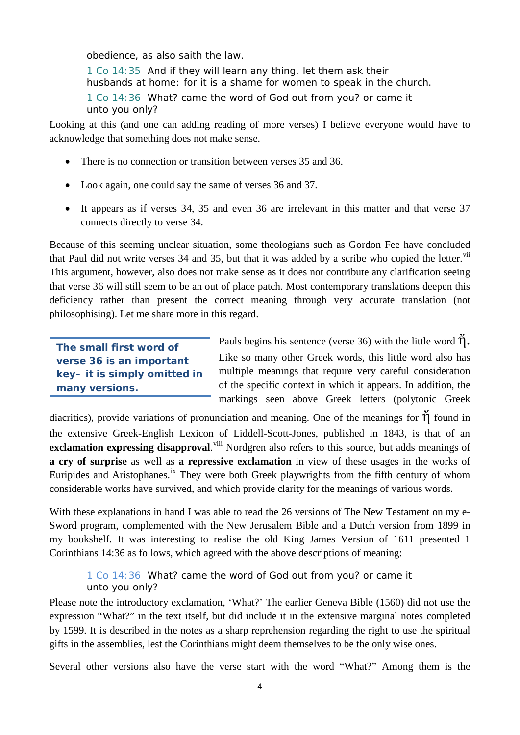obedience, as also saith the law.

1 Co 14:35 And if they will learn any thing, let them ask their husbands at home: for it is a shame for women to speak in the church. 1 Co 14:36 What? came the word of God out from you? or came it unto you only?

Looking at this (and one can adding reading of more verses) I believe everyone would have to acknowledge that something does not make sense.

- There is no connection or transition between verses 35 and 36.
- Look again, one could say the same of verses 36 and 37.
- It appears as if verses 34, 35 and even 36 are irrelevant in this matter and that verse 37 connects directly to verse 34.

Because of this seeming unclear situation, some theologians such as Gordon Fee have concluded that Paul did not write verses 34 and 35, but that it was added by a scribe who copied the letter. [vii](#page-9-6) This argument, however, also does not make sense as it does not contribute any clarification seeing that verse 36 will still seem to be an out of place patch. Most contemporary translations deepen this deficiency rather than present the correct meaning through very accurate translation (not philosophising). Let me share more in this regard.

**The small first word of verse 36 is an important key– it is simply omitted in many versions.**

Pauls begins his sentence (verse 36) with the little word  $\ddot{\eta}$ . Like so many other Greek words, this little word also has multiple meanings that require very careful consideration of the specific context in which it appears. In addition, the markings seen above Greek letters (polytonic Greek

diacritics), provide variations of pronunciation and meaning. One of the meanings for  $\check{\eta}$  found in the extensive Greek-English Lexicon of Liddell-Scott-Jones, published in 1843, is that of an exclamation expressing disapproval.<sup>[viii](#page-9-7)</sup> Nordgren also refers to this source, but adds meanings of **a cry of surprise** as well as **a repressive exclamation** in view of these usages in the works of Euripides and Aristophanes.<sup>[ix](#page-9-8)</sup> They were both Greek playwrights from the fifth century of whom considerable works have survived, and which provide clarity for the meanings of various words.

With these explanations in hand I was able to read the 26 versions of The New Testament on my e-Sword program, complemented with the New Jerusalem Bible and a Dutch version from 1899 in my bookshelf. It was interesting to realise the old King James Version of 1611 presented 1 Corinthians 14:36 as follows, which agreed with the above descriptions of meaning:

1 Co 14:36 What? came the word of God out from you? or came it unto you only?

Please note the introductory exclamation, 'What?' The earlier Geneva Bible (1560) did not use the expression "What?" in the text itself, but did include it in the extensive marginal notes completed by 1599. It is described in the notes as a sharp reprehension regarding the right to use the spiritual gifts in the assemblies, lest the Corinthians might deem themselves to be the only wise ones.

Several other versions also have the verse start with the word "What?" Among them is the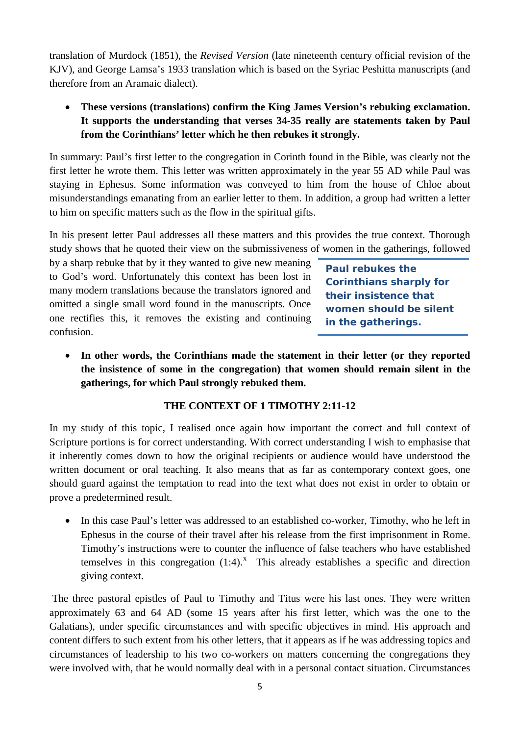translation of Murdock (1851), the *Revised Version* (late nineteenth century official revision of the KJV), and George Lamsa's 1933 translation which is based on the Syriac Peshitta manuscripts (and therefore from an Aramaic dialect).

• **These versions (translations) confirm the King James Version's rebuking exclamation. It supports the understanding that verses 34-35 really are statements taken by Paul from the Corinthians' letter which he then rebukes it strongly.**

In summary: Paul's first letter to the congregation in Corinth found in the Bible, was clearly not the first letter he wrote them. This letter was written approximately in the year 55 AD while Paul was staying in Ephesus. Some information was conveyed to him from the house of Chloe about misunderstandings emanating from an earlier letter to them. In addition, a group had written a letter to him on specific matters such as the flow in the spiritual gifts.

In his present letter Paul addresses all these matters and this provides the true context. Thorough study shows that he quoted their view on the submissiveness of women in the gatherings, followed

by a sharp rebuke that by it they wanted to give new meaning to God's word. Unfortunately this context has been lost in many modern translations because the translators ignored and omitted a single small word found in the manuscripts. Once one rectifies this, it removes the existing and continuing confusion.

**Paul rebukes the Corinthians sharply for their insistence that women should be silent in the gatherings.**

• **In other words, the Corinthians made the statement in their letter (or they reported the insistence of some in the congregation) that women should remain silent in the gatherings, for which Paul strongly rebuked them.** 

# **THE CONTEXT OF 1 TIMOTHY 2:11-12**

In my study of this topic, I realised once again how important the correct and full context of Scripture portions is for correct understanding. With correct understanding I wish to emphasise that it inherently comes down to how the original recipients or audience would have understood the written document or oral teaching. It also means that as far as contemporary context goes, one should guard against the temptation to read into the text what does not exist in order to obtain or prove a predetermined result.

• In this case Paul's letter was addressed to an established co-worker, Timothy, who he left in Ephesus in the course of their travel after his release from the first imprisonment in Rome. Timothy's instructions were to counter the influence of false teachers who have established temselves in this congregation  $(1:4)$ .<sup>[x](#page-9-9)</sup> This already establishes a specific and direction giving context.

The three pastoral epistles of Paul to Timothy and Titus were his last ones. They were written approximately 63 and 64 AD (some 15 years after his first letter, which was the one to the Galatians), under specific circumstances and with specific objectives in mind. His approach and content differs to such extent from his other letters, that it appears as if he was addressing topics and circumstances of leadership to his two co-workers on matters concerning the congregations they were involved with, that he would normally deal with in a personal contact situation. Circumstances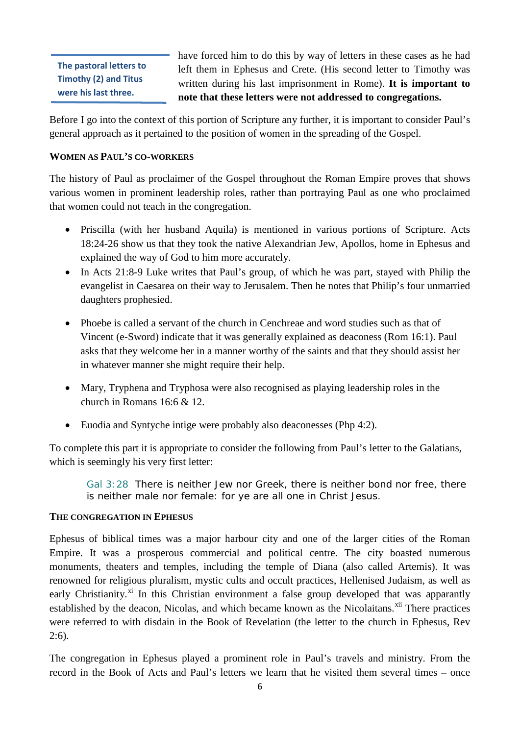**The pastoral letters to Timothy (2) and Titus were his last three.**

have forced him to do this by way of letters in these cases as he had left them in Ephesus and Crete. (His second letter to Timothy was written during his last imprisonment in Rome). **It is important to note that these letters were not addressed to congregations.**

Before I go into the context of this portion of Scripture any further, it is important to consider Paul's general approach as it pertained to the position of women in the spreading of the Gospel.

# **WOMEN AS PAUL'S CO-WORKERS**

The history of Paul as proclaimer of the Gospel throughout the Roman Empire proves that shows various women in prominent leadership roles, rather than portraying Paul as one who proclaimed that women could not teach in the congregation.

- Priscilla (with her husband Aquila) is mentioned in various portions of Scripture. Acts 18:24-26 show us that they took the native Alexandrian Jew, Apollos, home in Ephesus and explained the way of God to him more accurately.
- In Acts 21:8-9 Luke writes that Paul's group, of which he was part, stayed with Philip the evangelist in Caesarea on their way to Jerusalem. Then he notes that Philip's four unmarried daughters prophesied.
- Phoebe is called a servant of the church in Cenchreae and word studies such as that of Vincent (e-Sword) indicate that it was generally explained as deaconess (Rom 16:1). Paul asks that they welcome her in a manner worthy of the saints and that they should assist her in whatever manner she might require their help.
- Mary, Tryphena and Tryphosa were also recognised as playing leadership roles in the church in Romans 16:6 & 12.
- Euodia and Syntyche intige were probably also deaconesses (Php 4:2).

To complete this part it is appropriate to consider the following from Paul's letter to the Galatians, which is seemingly his very first letter:

Gal 3:28 There is neither Jew nor Greek, there is neither bond nor free, there is neither male nor female: for ye are all one in Christ Jesus.

#### **THE CONGREGATION IN EPHESUS**

Ephesus of biblical times was a major harbour city and one of the larger cities of the Roman Empire. It was a prosperous commercial and political centre. The city boasted numerous monuments, theaters and temples, including the temple of Diana (also called Artemis). It was renowned for religious pluralism, mystic cults and occult practices, Hellenised Judaism, as well as early Christianity.<sup>[xi](#page-9-10)</sup> In this Christian environment a false group developed that was apparantly established by the deacon, Nicolas, and which became known as the Nicolaitans.<sup>[xii](#page-9-11)</sup> There practices were referred to with disdain in the Book of Revelation (the letter to the church in Ephesus, Rev 2:6).

The congregation in Ephesus played a prominent role in Paul's travels and ministry. From the record in the Book of Acts and Paul's letters we learn that he visited them several times – once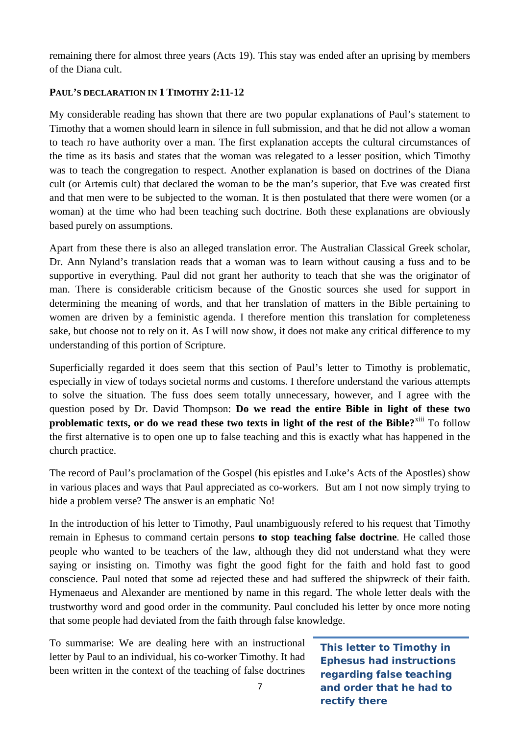remaining there for almost three years (Acts 19). This stay was ended after an uprising by members of the Diana cult.

# **PAUL'S DECLARATION IN 1 TIMOTHY 2:11-12**

My considerable reading has shown that there are two popular explanations of Paul's statement to Timothy that a women should learn in silence in full submission, and that he did not allow a woman to teach ro have authority over a man. The first explanation accepts the cultural circumstances of the time as its basis and states that the woman was relegated to a lesser position, which Timothy was to teach the congregation to respect. Another explanation is based on doctrines of the Diana cult (or Artemis cult) that declared the woman to be the man's superior, that Eve was created first and that men were to be subjected to the woman. It is then postulated that there were women (or a woman) at the time who had been teaching such doctrine. Both these explanations are obviously based purely on assumptions.

Apart from these there is also an alleged translation error. The Australian Classical Greek scholar, Dr. Ann Nyland's translation reads that a woman was to learn without causing a fuss and to be supportive in everything. Paul did not grant her authority to teach that she was the originator of man. There is considerable criticism because of the Gnostic sources she used for support in determining the meaning of words, and that her translation of matters in the Bible pertaining to women are driven by a feministic agenda. I therefore mention this translation for completeness sake, but choose not to rely on it. As I will now show, it does not make any critical difference to my understanding of this portion of Scripture.

Superficially regarded it does seem that this section of Paul's letter to Timothy is problematic, especially in view of todays societal norms and customs. I therefore understand the various attempts to solve the situation. The fuss does seem totally unnecessary, however, and I agree with the question posed by Dr. David Thompson: **Do we read the entire Bible in light of these two problematic texts, or do we read these two texts in light of the rest of the Bible?<sup>[xiii](#page-9-12)</sup> To follow** the first alternative is to open one up to false teaching and this is exactly what has happened in the church practice.

The record of Paul's proclamation of the Gospel (his epistles and Luke's Acts of the Apostles) show in various places and ways that Paul appreciated as co-workers. But am I not now simply trying to hide a problem verse? The answer is an emphatic No!

In the introduction of his letter to Timothy, Paul unambiguously refered to his request that Timothy remain in Ephesus to command certain persons **to stop teaching false doctrine**. He called those people who wanted to be teachers of the law, although they did not understand what they were saying or insisting on. Timothy was fight the good fight for the faith and hold fast to good conscience. Paul noted that some ad rejected these and had suffered the shipwreck of their faith. Hymenaeus and Alexander are mentioned by name in this regard. The whole letter deals with the trustworthy word and good order in the community. Paul concluded his letter by once more noting that some people had deviated from the faith through false knowledge.

To summarise: We are dealing here with an instructional letter by Paul to an individual, his co-worker Timothy. It had been written in the context of the teaching of false doctrines

**This letter to Timothy in Ephesus had instructions regarding false teaching and order that he had to rectify there**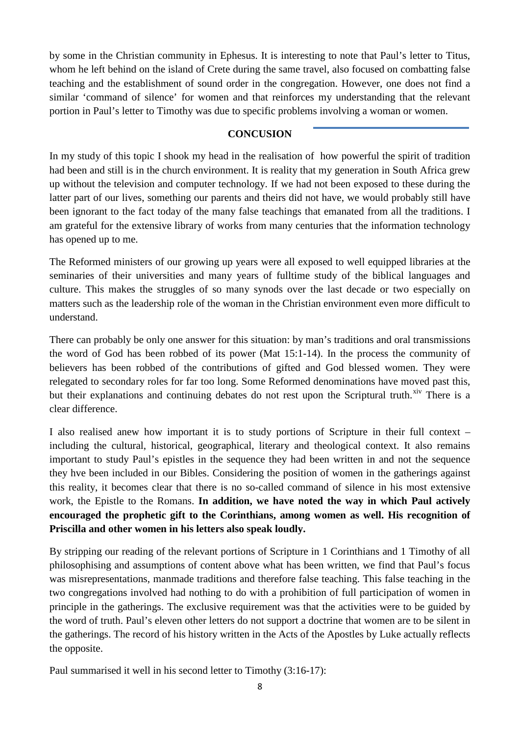by some in the Christian community in Ephesus. It is interesting to note that Paul's letter to Titus, whom he left behind on the island of Crete during the same travel, also focused on combatting false teaching and the establishment of sound order in the congregation. However, one does not find a similar 'command of silence' for women and that reinforces my understanding that the relevant portion in Paul's letter to Timothy was due to specific problems involving a woman or women.

## **CONCUSION**

In my study of this topic I shook my head in the realisation of how powerful the spirit of tradition had been and still is in the church environment. It is reality that my generation in South Africa grew up without the television and computer technology. If we had not been exposed to these during the latter part of our lives, something our parents and theirs did not have, we would probably still have been ignorant to the fact today of the many false teachings that emanated from all the traditions. I am grateful for the extensive library of works from many centuries that the information technology has opened up to me.

The Reformed ministers of our growing up years were all exposed to well equipped libraries at the seminaries of their universities and many years of fulltime study of the biblical languages and culture. This makes the struggles of so many synods over the last decade or two especially on matters such as the leadership role of the woman in the Christian environment even more difficult to understand.

There can probably be only one answer for this situation: by man's traditions and oral transmissions the word of God has been robbed of its power (Mat 15:1-14). In the process the community of believers has been robbed of the contributions of gifted and God blessed women. They were relegated to secondary roles for far too long. Some Reformed denominations have moved past this, but their explanations and continuing debates do not rest upon the Scriptural truth. Xiv There is a clear difference.

I also realised anew how important it is to study portions of Scripture in their full context – including the cultural, historical, geographical, literary and theological context. It also remains important to study Paul's epistles in the sequence they had been written in and not the sequence they hve been included in our Bibles. Considering the position of women in the gatherings against this reality, it becomes clear that there is no so-called command of silence in his most extensive work, the Epistle to the Romans. **In addition, we have noted the way in which Paul actively encouraged the prophetic gift to the Corinthians, among women as well. His recognition of Priscilla and other women in his letters also speak loudly.**

By stripping our reading of the relevant portions of Scripture in 1 Corinthians and 1 Timothy of all philosophising and assumptions of content above what has been written, we find that Paul's focus was misrepresentations, manmade traditions and therefore false teaching. This false teaching in the two congregations involved had nothing to do with a prohibition of full participation of women in principle in the gatherings. The exclusive requirement was that the activities were to be guided by the word of truth. Paul's eleven other letters do not support a doctrine that women are to be silent in the gatherings. The record of his history written in the Acts of the Apostles by Luke actually reflects the opposite.

Paul summarised it well in his second letter to Timothy (3:16-17):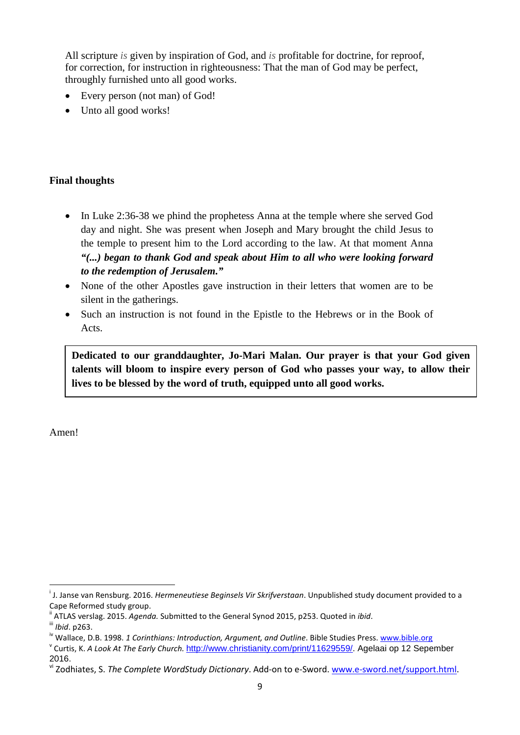All scripture *is* given by inspiration of God, and *is* profitable for doctrine, for reproof, for correction, for instruction in righteousness: That the man of God may be perfect, throughly furnished unto all good works.

- Every person (not man) of God!
- Unto all good works!

# **Final thoughts**

- In Luke 2:36-38 we phind the prophetess Anna at the temple where she served God day and night. She was present when Joseph and Mary brought the child Jesus to the temple to present him to the Lord according to the law. At that moment Anna *"(...) began to thank God and speak about Him to all who were looking forward to the redemption of Jerusalem."*
- None of the other Apostles gave instruction in their letters that women are to be silent in the gatherings.
- Such an instruction is not found in the Epistle to the Hebrews or in the Book of Acts.

**Dedicated to our granddaughter, Jo-Mari Malan. Our prayer is that your God given talents will bloom to inspire every person of God who passes your way, to allow their lives to be blessed by the word of truth, equipped unto all good works.**

Amen!

i <sup>i</sup> J. Janse van Rensburg. 2016. *Hermeneutiese Beginsels Vir Skrifverstaan*. Unpublished study document provided to a

Cape Reformed study group.<br>
" ATLAS verslag. 2015. Agenda. Submitted to the General Synod 2015, p253. Quoted in *ibid.*<br>
"" *Ibid.* p263.<br>
" Wallace, D.B. 1998. 1 Corinthians: Introduction, Argument, and Outline. Bible Stu

<sup>2016.</sup>

vi Zodhiates, S. *The Complete WordStudy Dictionary*. Add-on to e-Sword. [www.e-sword.net/support.html.](http://www.e-sword.net/support.html)